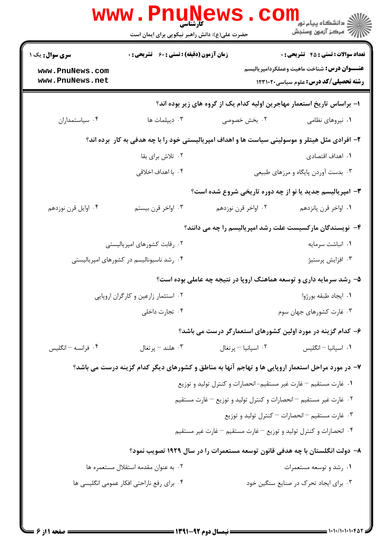|                                    | کارشناسی<br>حضرت علی(ع): دانش راهبر نیکویی برای ایمان است                                         |                                                                             | ر دانشگاه پیام نور <mark></mark><br>اگران کارون وسنجش                                              |
|------------------------------------|---------------------------------------------------------------------------------------------------|-----------------------------------------------------------------------------|----------------------------------------------------------------------------------------------------|
| <b>سری سوال :</b> یک ۱             | <b>زمان آزمون (دقیقه) : تستی : 60 ٪ تشریحی : 0</b>                                                |                                                                             | <b>تعداد سوالات : تستي : 45 گشریحي : 0</b>                                                         |
| www.PnuNews.com<br>www.PnuNews.net |                                                                                                   |                                                                             | <b>عنـــوان درس:</b> شناخت ماهيت وعملكردامپرياليسم<br><b>رشته تحصیلی/کد درس:</b> علوم سیاسی1۲۳۱۰۲۰ |
|                                    |                                                                                                   | ۱– براساس تاریخ استعمار مهاجرین اولیه کدام یک از گروه های زیر بوده اند؟     |                                                                                                    |
| ۰۴ سیاستمداران                     | ۰۳ دیپلمات ها                                                                                     | ۰۲ بخش خصوصی                                                                | ۰۱ نیروهای نظامی                                                                                   |
|                                    | ۲- افرادی مثل هیتلر و موسولینی سیاست ها و اهداف امپریالیستی خود را با چه هدفی به کار ۖ برده اند؟  |                                                                             |                                                                                                    |
|                                    | ۰۲ تلاش برای بقا                                                                                  |                                                                             | ٠١. اهداف اقتصادي                                                                                  |
|                                    | ۰۴ با اهداف اخلاقی                                                                                |                                                                             | ۰۳ بدست آوردن پایگاه و مرزهای طبیعی                                                                |
|                                    |                                                                                                   | <b>۳</b> - امپریالیسم جدید یا نو از چه دوره تاریخی شروع شده است؟            |                                                                                                    |
| ۰۴ اوايل قرن نوزدهم                | ۰۳ اواخر قرن بیستم                                                                                | ۰۲ اواخر قرن نوزدهم                                                         | ٠١. اواخر قرن پانزدهم                                                                              |
|                                    |                                                                                                   | ۴- نویسندگان مارکسیست علت رشد امپریالیسم را چه می دانند؟                    |                                                                                                    |
|                                    | ۰۲ رقابت کشورهای امپریالیستی                                                                      |                                                                             | ٠١ انباشت سرمايه                                                                                   |
|                                    | ۰۴ رشد ناسیونالیسم در کشورهای امپریالیستی                                                         |                                                                             | ۰۳ افزایش پرستیژ                                                                                   |
|                                    |                                                                                                   | ۵– رشد سرمایه داری و توسعه هماهنگ اروپا در نتیجه چه عاملی بوده است؟         |                                                                                                    |
|                                    | ۰۲ استثمار زارعین و کارگران اروپایی                                                               |                                                                             | ٠١. ايجاد طبقه بورژوا                                                                              |
|                                    | ۰۴ تجارت داخلی                                                                                    |                                                                             | ۰۳ غارت کشورهای جهان سوم                                                                           |
|                                    |                                                                                                   | ۶– کدام گزینه در مورد اولین کشورهای استعمارگر درست می باشد؟                 |                                                                                                    |
| ۰۴ فرانسه – انگلیس                 | ۰۳ هلند – پرتغال                                                                                  | ٠٢ اسپانيا - پرتغال                                                         | ۰۱ اسپانیا – انگلیس                                                                                |
|                                    | ۷- در مورد مراحل استعمار اروپایی ها و تهاجم آنها به مناطق و کشورهای دیگر کدام گزینه درست می باشد؟ |                                                                             |                                                                                                    |
|                                    |                                                                                                   | ۰۱ غارت مستقیم – غارت غیر مستقیم- انحصارات و کنترل تولید و توزیع            |                                                                                                    |
|                                    |                                                                                                   | ۰۲ غارت غیر مستقیم – انحصارات و کنترل تولید و توزیع – غارت مستقیم           |                                                                                                    |
|                                    |                                                                                                   |                                                                             | ۰۳ غارت مستقیم – انحصارات – کنترل تولید و توزیع                                                    |
|                                    |                                                                                                   | ۰۴ انحصارات و کنترل تولید و توزیع – غارت مستقیم – غارت غیر مستقیم           |                                                                                                    |
|                                    |                                                                                                   | ۸– دولت انگلستان با چه هدفی قانون توسعه مستعمرات را در سال ۱۹۲۹ تصویب نمود؟ |                                                                                                    |
|                                    | ۰۲ به عنوان مقدمه استقلال مستعمره ها                                                              |                                                                             | ۰۱ رشد و توسعه مستعمرات                                                                            |
|                                    | ۰۴ برای رفع ناراحتی افکار عمومی انگلیسی ها                                                        |                                                                             | ۰۳ برای ایجاد تحرک در صنایع سنگین خود                                                              |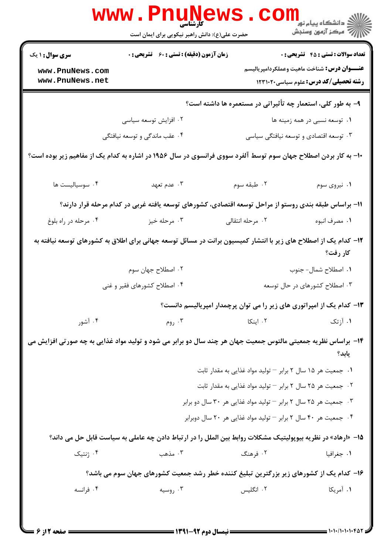|                                                                                                                              | WWW.PIIUN<br>حضرت علی(ع): دانش راهبر نیکویی برای ایمان است                                                    |                  | ڪ دانشڪاه پيا <sub>م</sub> نور<br><mark>√</mark> مرڪز آزمون وسنڊش                                     |
|------------------------------------------------------------------------------------------------------------------------------|---------------------------------------------------------------------------------------------------------------|------------------|-------------------------------------------------------------------------------------------------------|
| <b>سری سوال : ۱ یک</b>                                                                                                       | <b>زمان آزمون (دقیقه) : تستی : 60 ٪ تشریحی : 0</b>                                                            |                  | <b>تعداد سوالات : تستی : 45 گشریحی : 0</b>                                                            |
| www.PnuNews.com<br>www.PnuNews.net                                                                                           |                                                                                                               |                  | <b>عنــــوان درس :</b> شناخت ماهيت وعملكردامپرياليسم<br><b>رشته تحصیلی/کد درس:</b> علوم سیاسی ۱۲۳۱۰۲۰ |
|                                                                                                                              |                                                                                                               |                  | ۹- به طور کلی، استعمار چه تأثیراتی در مستعمره ها داشته است؟                                           |
|                                                                                                                              | ۰۲ افزایش توسعه سیاسی                                                                                         |                  | ۰۱ توسعه نسبی در همه زمینه ها                                                                         |
|                                                                                                                              | ۴. عقب ماندگی و توسعه نیافتگی                                                                                 |                  | ۰۳ توسعه اقتصادي و توسعه نيافتگي سياسي                                                                |
| ۱۰- به کار بردن اصطلاح جهان سوم توسط آلفرد سووی فرانسوی در سال ۱۹۵۶ در اشاره به کدام یک از مفاهیم زیر بوده است؟              |                                                                                                               |                  |                                                                                                       |
| ۰۴ سوسیالیست ها                                                                                                              | ۰۳ عدم تعهد                                                                                                   | ۰۲ طبقه سوم      | ۰۱ نیروی سوم                                                                                          |
|                                                                                                                              | 1۱– براساس طبقه بندی روستو از مراحل توسعه اقتصادی، کشورهای توسعه یافته غربی در کدام مرحله قرار دارند؟         |                  |                                                                                                       |
| ۰۴ مرحله در راه بلوغ                                                                                                         | ۰۳ مرحله خیز                                                                                                  | ۰۲ مرحله انتقالی | ۰۱ مصرف انبوه                                                                                         |
| ۱۲– کدام یک از اصطلاح های زیر با انتشار کمیسیون برانت در مسائل توسعه جهانی برای اطلاق به کشورهای توسعه نیافته به<br>کار رفت؟ |                                                                                                               |                  |                                                                                                       |
|                                                                                                                              | ۰۲ اصطلاح جهان سوم                                                                                            |                  | ۰۱ اصطلاح شمال- جنوب                                                                                  |
|                                                                                                                              | ۴. اصطلاح کشورهای فقیر و غنی                                                                                  |                  | ۰۳ اصطلاح کشورهای در حال توسعه                                                                        |
|                                                                                                                              |                                                                                                               |                  | ۱۳- کدام یک از امپراتوری های زیر را می توان پرچمدار امپریالیسم دانست؟                                 |
| ۰۴ آشور                                                                                                                      | ۰۳ روم                                                                                                        | ۰۲ اینکا         | ۰۱ آزتک                                                                                               |
|                                                                                                                              | ۱۴- براساس نظریه جمعیتی مالتوس جمعیت جهان هر چند سال دو برابر می شود و تولید مواد غذایی به چه صورتی افزایش می |                  | یابد؟                                                                                                 |
|                                                                                                                              |                                                                                                               |                  | ۰۱ جمعیت هر ۱۵ سال ۲ برابر – تولید مواد غذایی به مقدار ثابت                                           |
|                                                                                                                              |                                                                                                               |                  | ۰۲ جمعیت هر ۲۵ سال ۲ برابر – تولید مواد غذایی به مقدار ثابت                                           |
|                                                                                                                              |                                                                                                               |                  | ۰۳ جمعیت هر ۲۵ سال ۲ برابر – تولید مواد غذایی هر ۳۰ سال دو برابر                                      |
|                                                                                                                              |                                                                                                               |                  | ۰۴ جمعیت هر ۴۰ سال ۲ برابر – تولید مواد غذایی هر ۲۰ سال دوبرابر                                       |
|                                                                                                                              | ۱۵− «ارهاد» در نظریه بیوپولیتیک مشکلات روابط بین الملل را در ارتباط دادن چه عاملی به سیاست قابل حل می داند؟   |                  |                                                                                                       |
| ۰۴ ژنتیک                                                                                                                     | ۰۳ مذهب                                                                                                       | ۰۲ فرهنگ         | ۰۱ جغرافیا                                                                                            |
|                                                                                                                              | ۱۶– کدام یک از کشورهای زیر بزرگترین تبلیغ کننده خطر رشد جمعیت کشورهای جهان سوم می باشد؟                       |                  |                                                                                                       |
| ۰۴ فرانسه                                                                                                                    | ۰۳ روسیه                                                                                                      | ۰۲ انگلیس        | ١. آمريكا                                                                                             |
|                                                                                                                              |                                                                                                               |                  |                                                                                                       |

1.1./1.1.1.40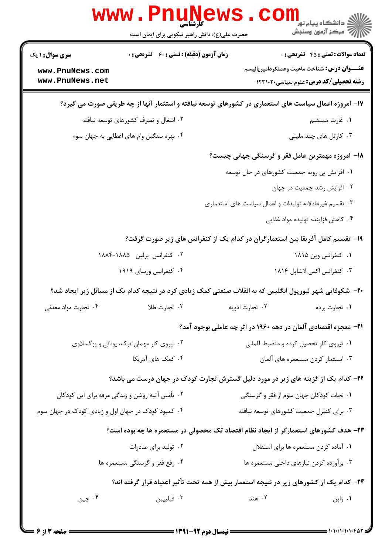|                                                    | www.PnuNews<br>حضرت علی(ع): دانش راهبر نیکویی برای ایمان است | دانشکاه پيام نور<br>(دانشکاه پيام نور<br>(د مرکز آزمون وسنجش                                            |  |
|----------------------------------------------------|--------------------------------------------------------------|---------------------------------------------------------------------------------------------------------|--|
| <b>سری سوال :</b> ۱ یک                             | <b>زمان آزمون (دقیقه) : تستی : 60 ٪ تشریحی : 0</b>           | <b>تعداد سوالات : تستي : 45 گشريحي : 0</b>                                                              |  |
| www.PnuNews.com                                    |                                                              | <b>عنــــوان درس:</b> شناخت ماهيت وعملكردامپرياليسم                                                     |  |
| www.PnuNews.net                                    |                                                              | <b>رشته تحصیلی/کد درس:</b> علوم سیاسی1۲۳۱۰۲۰                                                            |  |
|                                                    |                                                              | ۱۷– امروزه اعمال سیاست های استعماری در کشورهای توسعه نیافته و استثمار آنها از چه طریقی صورت می گیرد؟    |  |
|                                                    | ۰۲ اشغال و تصرف کشورهای توسعه نیافته                         | ٠١ غارت مستقيم                                                                                          |  |
| ۰۴ بهره سنگین وام های اعطایی به جهان سوم           |                                                              | ۰۳ کارتل های چند ملیتی                                                                                  |  |
|                                                    |                                                              | <b>۱۸</b> - امروزه مهمترین عامل فقر و گرسنگی جهانی چیست؟                                                |  |
|                                                    |                                                              | ۰۱ افزایش بی رویه جمعیت کشورهای در حال توسعه                                                            |  |
|                                                    |                                                              | ٠٢ افزايش رشد جمعيت در جهان                                                                             |  |
|                                                    |                                                              | ۰۳ تقسیم غیرعادلانه تولیدات و اعمال سیاست های استعماری                                                  |  |
|                                                    |                                                              | ۰۴ کاهش فزاینده تولیده مواد غذایی                                                                       |  |
|                                                    |                                                              | ۱۹- تقسیم کامل آفریقا بین استعمارگران در کدام یک از کنفرانس های زیر صورت گرفت؟                          |  |
|                                                    | ۰۲ کنفرانس برلین ۱۸۸۵-۱۸۸۴                                   | ۰۱ كنفرانس وين ۱۸۱۵                                                                                     |  |
|                                                    | ۰۴ کنفرانس ورسای ۱۹۱۹                                        | ۰۳ کنفرانس اکس لاشاپل ۱۸۱۶                                                                              |  |
|                                                    |                                                              | +۲- شکوفایی شهر لیورپول انگلیس که به انقلاب صنعتی کمک زیادی کرد در نتیجه کدام یک از مسائل زیر ایجاد شد؟ |  |
| ۰۴ تجارت مواد معدنی                                | ۰۳ تجارت طلا                                                 | ۰۲ تجارت ادویه<br>۰۱ تجارت برده                                                                         |  |
|                                                    |                                                              | <b>۲۱</b> - معجزه اقتصادی آلمان در دهه ۱۹۶۰ در اثر چه عاملی بوجود آمد؟                                  |  |
|                                                    | ۰۲ نیروی کار مهمان ترک، یونانی و یوگسلاوی                    | ۰۱ نیروی کار تحصیل کرده و منضبط آلمانی                                                                  |  |
|                                                    | ۰۴ کمک های آمریکا                                            | ۰۳ استثمار کردن مستعمره های آلمان                                                                       |  |
|                                                    |                                                              | ۲۲- کدام یک از گزینه های زیر در مورد دلیل گسترش تجارت کودک در جهان درست می باشد؟                        |  |
| ۰۲ تأمین آتیه روشن و زندگی مرفه برای این کودکان    |                                                              | ۰۱ نجات کودکان جهان سوم از فقر و گرسنگی                                                                 |  |
| ۰۴ کمبود کودک در جهان اول و زیادی کودک در جهان سوم |                                                              | ۰۳ برای کنترل جمعیت کشورهای توسعه نیافته                                                                |  |
|                                                    |                                                              | ۲۳– هدف کشورهای استعمارگر از ایجاد نظام اقتصاد تک محصولی در مستعمره ها چه بوده است؟                     |  |
|                                                    | ۰۲ تولید برای صادرات                                         | ۰۱ آماده کردن مستعمره ها برای استقلال                                                                   |  |
|                                                    | ۰۴ رفع فقر و گرسنگی مستعمره ها                               | ۰۳ برآورده کردن نیازهای داخلی مستعمره ها                                                                |  |
|                                                    |                                                              | ۲۴– کدام یک از کشورهای زیر در نتیجه استعمار بیش از همه تحت تأثیر اعتیاد قرار گرفته اند؟                 |  |
| ۰۴ چين                                             | ۰۳ فیلیپین                                                   | ۰۲ هند<br>۰۱ ژاپن                                                                                       |  |
|                                                    |                                                              |                                                                                                         |  |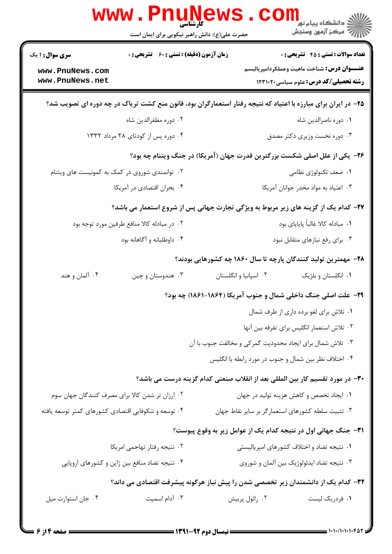|                                                                            | <b>WWW.PHUNE</b><br>حضرت علی(ع): دانش راهبر نیکویی برای ایمان است                                              |                                                                               | ی دانشگاه پیام نور<br>اگر مرکز آزمون وسنجش         |
|----------------------------------------------------------------------------|----------------------------------------------------------------------------------------------------------------|-------------------------------------------------------------------------------|----------------------------------------------------|
| <b>سری سوال : ۱ یک</b>                                                     | <b>زمان آزمون (دقیقه) : تستی : 60 ٪ تشریحی : 0</b>                                                             |                                                                               | <b>تعداد سوالات : تستي : 45 گشریحي : 0</b>         |
| www.PnuNews.com                                                            |                                                                                                                |                                                                               | <b>عنـــوان درس:</b> شناخت ماهيت وعملكردامپرياليسم |
| www.PnuNews.net                                                            |                                                                                                                |                                                                               | <b>رشته تحصیلی/کد درس:</b> علوم سیاسی1۲۳۱۰۲۰       |
|                                                                            | ۲۵- در ایران برای مبارزه با اعتیاد که نتیجه رفتار استعمارگران بود، قانون منع کشت تریاک در چه دوره ای تصویب شد؟ |                                                                               |                                                    |
|                                                                            | ۰۲ دوره مظفرالدین شاه                                                                                          |                                                                               | ٠١ دوره ناصرالدين شاه                              |
|                                                                            | ۰۴ دوره پس از کودتای ۲۸ مرداد ۱۳۳۲                                                                             |                                                                               | ۰۳ دوره نخست وزیری دکتر مصدق                       |
| ۲۶- یکی از علل اصلی شکست بزرگترین قدرت جهان (آمریکا) در جنگ ویتنام چه بود؟ |                                                                                                                |                                                                               |                                                    |
| ۰۲ توانمندی شوروی در کمک به کمونیست های ویتنام                             |                                                                                                                |                                                                               | ٠١. ضعف تكنولوژي نظامي                             |
|                                                                            | ۰۴ بحران اقتصادي در آمريكا                                                                                     |                                                                               | ٠٣ اعتياد به مواد مخدر جوانان آمريكا               |
|                                                                            | ۲۷- کدام یک از گزینه های زیر مربوط به ویژگی تجارت جهانی پس از شروع استعمار می باشد؟                            |                                                                               |                                                    |
|                                                                            | ۰۲ در مبادله کالا منافع طرفین مورد توجه بود                                                                    |                                                                               | ٠١. مبادله كالا غالباً پاياپاى بود                 |
|                                                                            | ۰۴ داوطلبانه و آگاهانه بود                                                                                     |                                                                               | ۰۳ برای رفع نیازهای متقابل نبود                    |
|                                                                            |                                                                                                                | ۲۸– مهمترین تولید کنندگان پارچه تا سال ۱۸۶۰ چه کشورهایی بودند؟                |                                                    |
| ۰۴ آلمان و هند                                                             | ۰۳ هندوستان و چين                                                                                              | ۰۲ اسپانیا و انگلستان                                                         | ۰۱ انگلستان و بلژیک                                |
|                                                                            |                                                                                                                | ۲۹- علت اصلی جنگ داخلی شمال و جنوب آمریکا (۱۸۶۴-۱۸۶۱) چه بود؟                 |                                                    |
|                                                                            |                                                                                                                |                                                                               | ۰۱ تلاش برای لغو برده داری از طرف شمال             |
|                                                                            |                                                                                                                |                                                                               | ٠٢ تلاش استعمار انگليس براي تفرقه بين آنها         |
|                                                                            | ۰۳ تلاش شمال برای ایجاد محدودیت گمرکی و مخالفت جنوب با آن                                                      |                                                                               |                                                    |
|                                                                            |                                                                                                                | ۰۴ اختلاف نظر بین شمال و جنوب در مورد رابطه با انگلیس                         |                                                    |
|                                                                            |                                                                                                                | ۳۰– در مورد تقسیم کار بین المللی بعد از انقلاب صنعتی کدام گزینه درست می باشد؟ |                                                    |
|                                                                            | ۰۲ ارزان تر شدن کالا برای مصرف کنندگان جهان سوم                                                                |                                                                               | ٠١ ايجاد تخصص و كاهش هزينه توليد در جهان           |
| ۰۴ توسعه و شکوفایی اقتصادی کشورهای کمتر توسعه یافته                        |                                                                                                                | ۰۳ تثبیت سلطه کشورهای استعمارگر بر سایر نقاط جهان                             |                                                    |
|                                                                            |                                                                                                                | <b>۳۱</b> - جنگ جهانی اول در نتیجه کدام یک از عوامل زیر به وقوع پیوست؟        |                                                    |
|                                                                            | ٠٢ نتيجه رفتار تهاجمي امريكا                                                                                   |                                                                               | ۰۱ نتیجه تضاد و اختلاف کشورهای امپریالیستی         |
|                                                                            | ۰۴ نتیجه تضاد منافع بین ژاپن و کشورهای اروپایی                                                                 |                                                                               | ۰۳ نتیجه تضاد ایدئولوژیک بین آلمان و شوروی         |
|                                                                            | ۳۲– کدام یک از دانشمندان زیر تخصصی شدن را پیش نیاز هرگونه پیشرفت اقتصادی می داند؟                              |                                                                               |                                                    |
| ۰۴ جان استوارت ميل                                                         | ۰۳ آدام اسمیت                                                                                                  | ۰۲ رائول پربیش                                                                | ۰۱ فردریک لیست                                     |
|                                                                            |                                                                                                                |                                                                               |                                                    |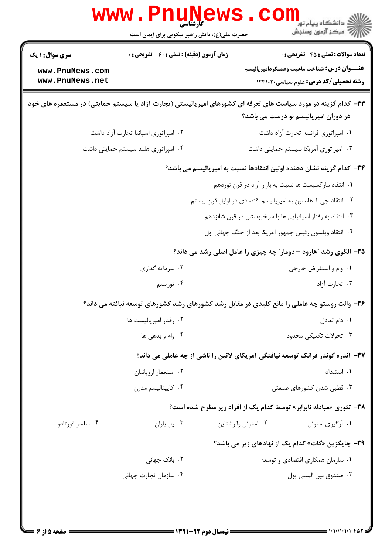|                                    | www.PnuNews<br>کارشناسی                            | دانشگاه پيام نور<br>ا∛ مرکز آزمون وسنجش                                                                                                               |
|------------------------------------|----------------------------------------------------|-------------------------------------------------------------------------------------------------------------------------------------------------------|
|                                    | حضرت علی(ع): دانش راهبر نیکویی برای ایمان است      |                                                                                                                                                       |
| <b>سری سوال :</b> ۱ یک             | <b>زمان آزمون (دقیقه) : تستی : 60 ٪ تشریحی : 0</b> | <b>تعداد سوالات : تستی : 45 قشریحی : 0</b>                                                                                                            |
| www.PnuNews.com<br>www.PnuNews.net |                                                    | <b>عنـــوان درس:</b> شناخت ماهيت وعملكردامپرياليسم<br><b>رشته تحصیلی/کد درس:</b> علوم سیاسی1۲۳۱۰۲۰                                                    |
|                                    |                                                    | ۳۳– کدام گزینه در مورد سیاست های تعرفه ای کشورهای امپریالیستی (تجارت آزاد یا سیستم حمایتی) در مستعمره های خود<br>در دوران امپریالیسم نو درست می باشد؟ |
|                                    | ۰۲ امپراتوری اسپانیا تجارت آزاد داشت               | ٠١ امپراتوري فرانسه تجارت آزاد داشت                                                                                                                   |
|                                    | ۰۴ امپراتوری هلند سیستم حمایتی داشت                | ۰۳ امپراتوری آمریکا سیستم حمایتی داشت                                                                                                                 |
|                                    |                                                    | <b>۳۴</b> – کدام گزینه نشان دهنده اولین انتقادها نسبت به امپریالیسم می باشد؟                                                                          |
|                                    |                                                    | ۰۱ انتقاد مارکسیست ها نسبت به بازار آزاد در قرن نوزدهم                                                                                                |
|                                    |                                                    | ۲.  انتقاد جی. ا. هابسون به امپریالیسم اقتصادی در اوایل قرن بیستم                                                                                     |
|                                    |                                                    | ۰۳ انتقاد به رفتار اسپانیایی ها با سرخپوستان در قرن شانزدهم                                                                                           |
|                                    |                                                    | ۰۴ انتقاد ویلسون رئیس جمهور آمریکا بعد از جنگ جهانی اول                                                                                               |
|                                    |                                                    | ۳۵- الگوی رشد "هارود – دومار" چه چیزی را عامل اصلی رشد می داند؟                                                                                       |
|                                    | ۰۲ سرمایه گذاری                                    | ٠١. وام و استقراض خارجي                                                                                                                               |
|                                    | ۰۴ توریسم                                          | ۰۳ تجارت آزاد                                                                                                                                         |
|                                    |                                                    | ۳۶- والت روستو چه عاملی را مانع کلیدی در مقابل رشد کشورهای رشد کشورهای توسعه نیافته می داند؟                                                          |
|                                    | ۰۲ رفتار امپریالیست ها                             | ۰۱ دام تعادل                                                                                                                                          |
| ۰۴ وام و بدهی ها                   |                                                    | ۰۳ تحولات تكنيكي محدود                                                                                                                                |
|                                    |                                                    | ۳۷– آندره گوندر فرانک توسعه نیافتگی آمریکای لاتین را ناشی از چه عاملی می داند؟                                                                        |
|                                    | ۰۲ استعمار اروپائیان                               | ٠١. استبداد                                                                                                                                           |
|                                    | ۰۴ کاپیتالیسم مدرن                                 | ۰۳ قطبی شدن کشورهای صنعتی                                                                                                                             |
|                                    |                                                    | <b>۳۸</b> - تئوری «مبادله نابرابر» توسط کدام یک از افراد زیر مطرح شده است؟                                                                            |
| ۰۴ سلسو فورتادو                    | ۰۳ پل باران                                        | ٠٢ امانوئل والرشتاين<br>۰۱ آرگیوی امانوئل                                                                                                             |
|                                    |                                                    | ۳۹- جایگزین «گات» کدام یک از نهادهای زیر می باشد؟                                                                                                     |
|                                    | ۰۲ بانک جهان <sub>ی</sub>                          | ۰۱ سازمان همکاری اقتصادی و توسعه                                                                                                                      |
|                                    | ۰۴ سازمان تجارت جهانی                              | ٠٣ صندوق بين المللي پول                                                                                                                               |
|                                    |                                                    |                                                                                                                                                       |